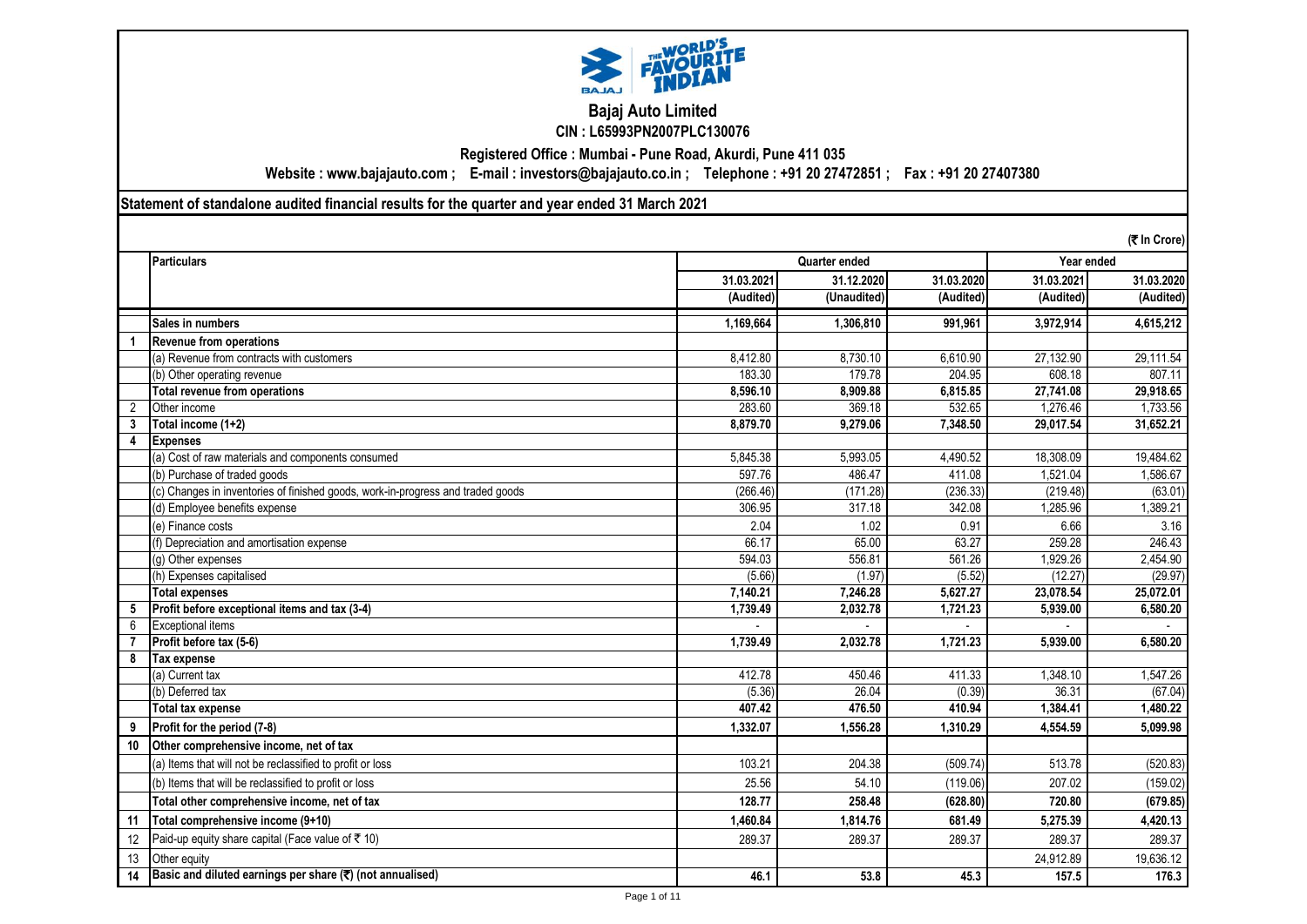

### **Bajaj Auto Limited CIN : L65993PN2007PLC130076**

**Registered Office : Mumbai - Pune Road, Akurdi, Pune 411 035**

**Website : www.bajajauto.com ; E-mail : investors@bajajauto.co.in ; Telephone : +91 20 27472851 ; Fax : +91 20 27407380**

**Statement of standalone audited financial results for the quarter and year ended 31 March 2021**

| (そ In Crore) |                                                                                 |            |               |            |            |            |
|--------------|---------------------------------------------------------------------------------|------------|---------------|------------|------------|------------|
|              | <b>Particulars</b>                                                              |            | Quarter ended |            | Year ended |            |
|              |                                                                                 | 31.03.2021 | 31.12.2020    | 31.03.2020 | 31.03.2021 | 31.03.2020 |
|              |                                                                                 | (Audited)  | (Unaudited)   | (Audited)  | (Audited)  | (Audited)  |
|              | Sales in numbers                                                                | 1,169,664  | 1,306,810     | 991.961    | 3,972,914  | 4,615,212  |
|              | <b>Revenue from operations</b>                                                  |            |               |            |            |            |
|              | (a) Revenue from contracts with customers                                       | 8,412.80   | 8,730.10      | 6,610.90   | 27,132.90  | 29,111.54  |
|              | (b) Other operating revenue                                                     | 183.30     | 179.78        | 204.95     | 608.18     | 807.11     |
|              | <b>Total revenue from operations</b>                                            | 8,596.10   | 8,909.88      | 6,815.85   | 27,741.08  | 29,918.65  |
| 2            | Other income                                                                    | 283.60     | 369.18        | 532.65     | 1,276.46   | 1,733.56   |
| 3            | Total income (1+2)                                                              | 8,879.70   | 9.279.06      | 7,348.50   | 29,017.54  | 31,652.21  |
| 4            | <b>Expenses</b>                                                                 |            |               |            |            |            |
|              | (a) Cost of raw materials and components consumed                               | 5,845.38   | 5,993.05      | 4,490.52   | 18,308.09  | 19,484.62  |
|              | (b) Purchase of traded goods                                                    | 597.76     | 486.47        | 411.08     | 1,521.04   | 1,586.67   |
|              | (c) Changes in inventories of finished goods, work-in-progress and traded goods | (266.46)   | (171.28)      | (236.33)   | (219.48)   | (63.01)    |
|              | (d) Employee benefits expense                                                   | 306.95     | 317.18        | 342.08     | 1.285.96   | 1,389.21   |
|              | (e) Finance costs                                                               | 2.04       | 1.02          | 0.91       | 6.66       | 3.16       |
|              | (f) Depreciation and amortisation expense                                       | 66.17      | 65.00         | 63.27      | 259.28     | 246.43     |
|              | (g) Other expenses                                                              | 594.03     | 556.81        | 561.26     | 1,929.26   | 2,454.90   |
|              | (h) Expenses capitalised                                                        | (5.66)     | (1.97)        | (5.52)     | (12.27)    | (29.97)    |
|              | <b>Total expenses</b>                                                           | 7,140.21   | 7,246.28      | 5.627.27   | 23,078.54  | 25.072.01  |
| 5            | Profit before exceptional items and tax (3-4)                                   | 1,739.49   | 2,032.78      | 1,721.23   | 5.939.00   | 6.580.20   |
| 6            | <b>Exceptional items</b>                                                        |            |               |            |            |            |
| 7            | Profit before tax (5-6)                                                         | 1,739.49   | 2,032.78      | 1,721.23   | 5,939.00   | 6,580.20   |
| 8            | Tax expense                                                                     |            |               |            |            |            |
|              | (a) Current tax                                                                 | 412.78     | 450.46        | 411.33     | 1,348.10   | 1,547.26   |
|              | (b) Deferred tax                                                                | (5.36)     | 26.04         | (0.39)     | 36.31      | (67.04)    |
|              | Total tax expense                                                               | 407.42     | 476.50        | 410.94     | 1,384.41   | 1,480.22   |
| 9            | Profit for the period (7-8)                                                     | 1,332.07   | 1,556.28      | 1,310.29   | 4,554.59   | 5,099.98   |
| 10           | Other comprehensive income, net of tax                                          |            |               |            |            |            |
|              | (a) Items that will not be reclassified to profit or loss                       | 103.21     | 204.38        | (509.74)   | 513.78     | (520.83)   |
|              | (b) Items that will be reclassified to profit or loss                           | 25.56      | 54.10         | (119.06)   | 207.02     | (159.02)   |
|              | Total other comprehensive income, net of tax                                    | 128.77     | 258.48        | (628.80)   | 720.80     | (679.85)   |
| 11           | Total comprehensive income (9+10)                                               | 1,460.84   | 1,814.76      | 681.49     | 5.275.39   | 4,420.13   |
| 12           | Paid-up equity share capital (Face value of ₹ 10)                               | 289.37     | 289.37        | 289.37     | 289.37     | 289.37     |
| 13           | Other equity                                                                    |            |               |            | 24.912.89  | 19,636.12  |
| 14           | Basic and diluted earnings per share $(\overline{\mathbf{x}})$ (not annualised) | 46.1       | 53.8          | 45.3       | 157.5      | 176.3      |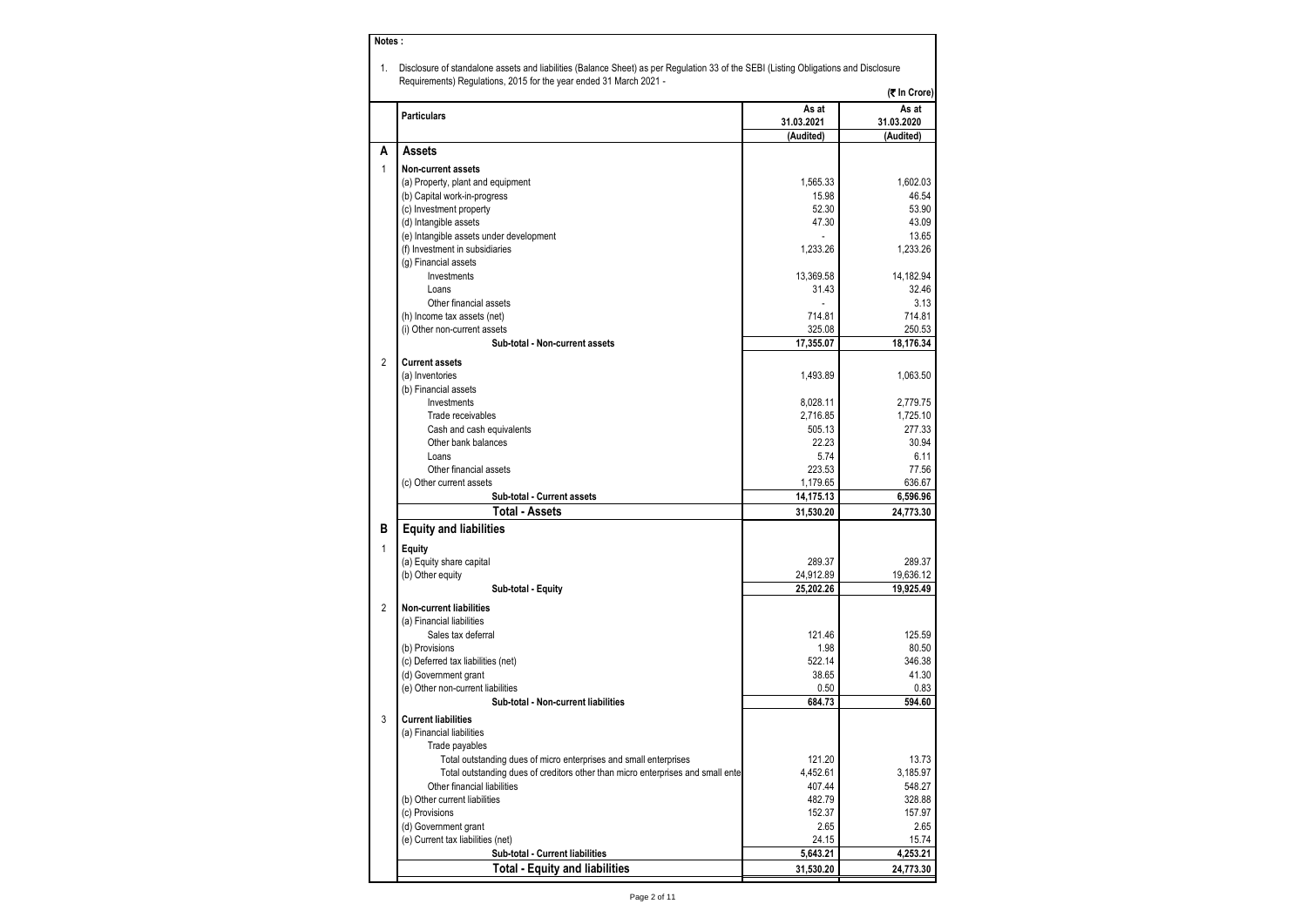| Notes:         |                                                                                                                                                                                                            |                         |                         |
|----------------|------------------------------------------------------------------------------------------------------------------------------------------------------------------------------------------------------------|-------------------------|-------------------------|
| 1.             | Disclosure of standalone assets and liabilities (Balance Sheet) as per Regulation 33 of the SEBI (Listing Obligations and Disclosure<br>Requirements) Regulations, 2015 for the year ended 31 March 2021 - |                         |                         |
|                |                                                                                                                                                                                                            |                         | (そ In Crore)            |
|                | <b>Particulars</b>                                                                                                                                                                                         | As at                   | As at                   |
|                |                                                                                                                                                                                                            | 31.03.2021<br>(Audited) | 31.03.2020<br>(Audited) |
| Α              | Assets                                                                                                                                                                                                     |                         |                         |
| 1              | Non-current assets                                                                                                                                                                                         |                         |                         |
|                | (a) Property, plant and equipment                                                                                                                                                                          | 1,565.33                | 1,602.03                |
|                | (b) Capital work-in-progress                                                                                                                                                                               | 15.98                   | 46.54                   |
|                | (c) Investment property                                                                                                                                                                                    | 52.30                   | 53.90                   |
|                | (d) Intangible assets                                                                                                                                                                                      | 47.30                   | 43.09                   |
|                | (e) Intangible assets under development                                                                                                                                                                    |                         | 13.65                   |
|                | (f) Investment in subsidiaries                                                                                                                                                                             | 1,233.26                | 1,233.26                |
|                | (g) Financial assets                                                                                                                                                                                       |                         |                         |
|                | Investments                                                                                                                                                                                                | 13,369.58               | 14,182.94               |
|                | Loans                                                                                                                                                                                                      | 31.43                   | 32.46                   |
|                | Other financial assets                                                                                                                                                                                     |                         | 3.13                    |
|                | (h) Income tax assets (net)                                                                                                                                                                                | 714.81                  | 714.81                  |
|                | (i) Other non-current assets                                                                                                                                                                               | 325.08                  | 250.53                  |
|                | Sub-total - Non-current assets                                                                                                                                                                             | 17.355.07               | 18,176.34               |
| $\overline{2}$ | <b>Current assets</b>                                                                                                                                                                                      |                         |                         |
|                | (a) Inventories                                                                                                                                                                                            | 1.493.89                | 1,063.50                |
|                | (b) Financial assets                                                                                                                                                                                       |                         |                         |
|                | Investments                                                                                                                                                                                                | 8,028.11                | 2.779.75                |
|                | Trade receivables                                                                                                                                                                                          | 2,716.85                | 1,725.10                |
|                | Cash and cash equivalents                                                                                                                                                                                  | 505.13                  | 277.33                  |
|                | Other bank balances                                                                                                                                                                                        | 22.23                   | 30.94                   |
|                | Loans                                                                                                                                                                                                      | 5.74                    | 6.11                    |
|                | Other financial assets                                                                                                                                                                                     | 223.53                  | 77.56                   |
|                | (c) Other current assets<br>Sub-total - Current assets                                                                                                                                                     | 1,179.65<br>14,175.13   | 636.67<br>6,596.96      |
|                | <b>Total - Assets</b>                                                                                                                                                                                      | 31,530.20               | 24,773.30               |
| в              | <b>Equity and liabilities</b>                                                                                                                                                                              |                         |                         |
|                |                                                                                                                                                                                                            |                         |                         |
| $\mathbf{1}$   | Equity                                                                                                                                                                                                     |                         |                         |
|                | (a) Equity share capital<br>(b) Other equity                                                                                                                                                               | 289.37<br>24,912.89     | 289.37<br>19,636.12     |
|                | Sub-total - Equity                                                                                                                                                                                         | 25,202.26               | 19,925.49               |
|                |                                                                                                                                                                                                            |                         |                         |
| $\overline{2}$ | <b>Non-current liabilities</b>                                                                                                                                                                             |                         |                         |
|                | (a) Financial liabilities                                                                                                                                                                                  |                         |                         |
|                | Sales tax deferral                                                                                                                                                                                         | 121.46                  | 125.59                  |
|                | (b) Provisions                                                                                                                                                                                             | 1.98                    | 80.50                   |
|                | (c) Deferred tax liabilities (net)<br>(d) Government grant                                                                                                                                                 | 522.14<br>38.65         | 346.38<br>41.30         |
|                | (e) Other non-current liabilities                                                                                                                                                                          | 0.50                    | 0.83                    |
|                | Sub-total - Non-current liabilities                                                                                                                                                                        | 684.73                  | 594.60                  |
| 3              | <b>Current liabilities</b>                                                                                                                                                                                 |                         |                         |
|                |                                                                                                                                                                                                            |                         |                         |
|                | (a) Financial liabilities<br>Trade payables                                                                                                                                                                |                         |                         |
|                | Total outstanding dues of micro enterprises and small enterprises                                                                                                                                          | 121.20                  | 13.73                   |
|                | Total outstanding dues of creditors other than micro enterprises and small enter                                                                                                                           | 4,452.61                | 3,185.97                |
|                | Other financial liabilities                                                                                                                                                                                | 407.44                  | 548.27                  |
|                | (b) Other current liabilities                                                                                                                                                                              | 482.79                  | 328.88                  |
|                | (c) Provisions                                                                                                                                                                                             | 152.37                  | 157.97                  |
|                | (d) Government grant                                                                                                                                                                                       | 2.65                    | 2.65                    |
|                | (e) Current tax liabilities (net)                                                                                                                                                                          | 24.15                   | 15.74                   |
|                | Sub-total - Current liabilities                                                                                                                                                                            | 5,643.21                | 4,253.21                |
|                | <b>Total - Equity and liabilities</b>                                                                                                                                                                      | 31,530.20               | 24,773.30               |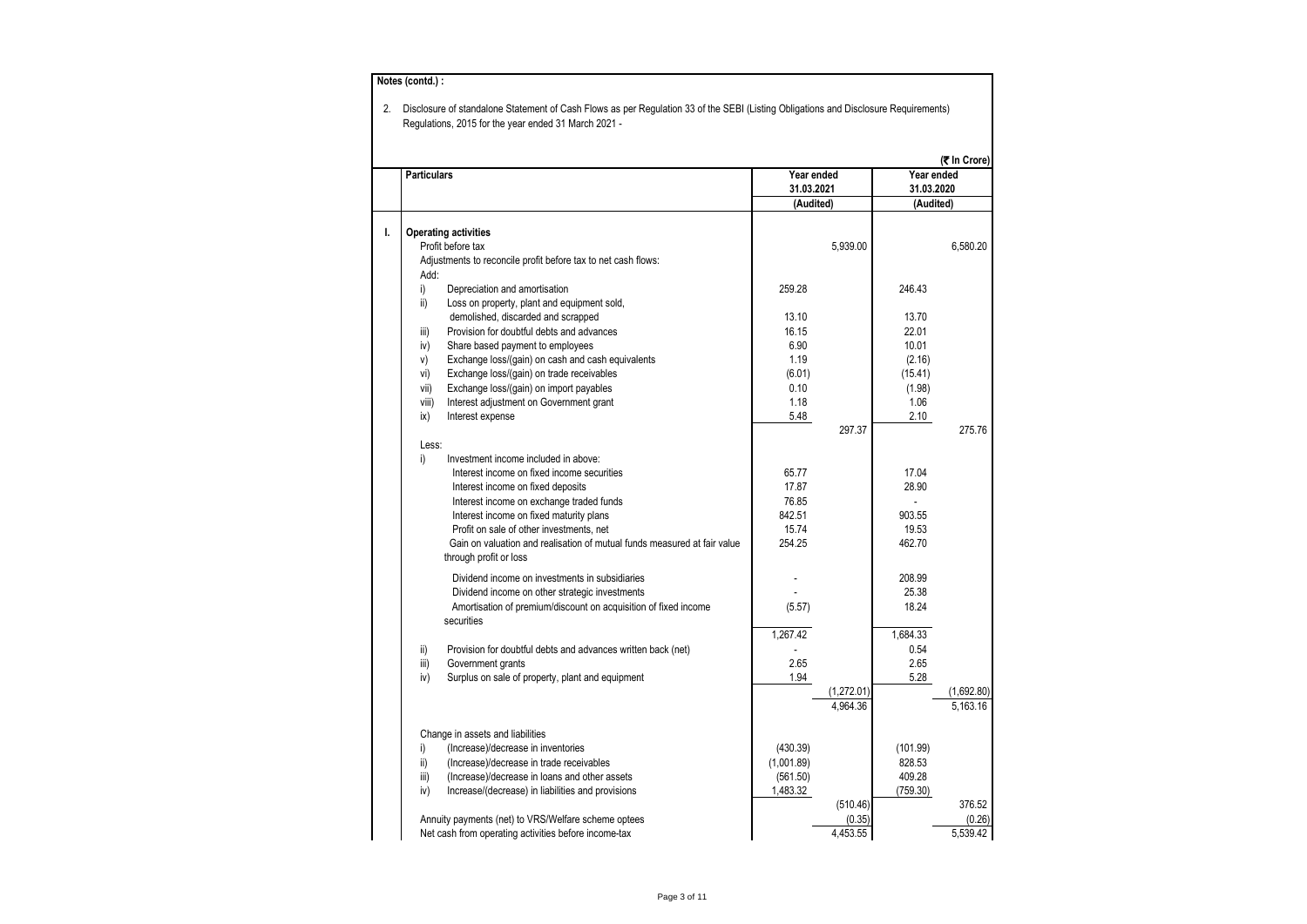| <b>Particulars</b> |                                                                                                    | Year ended<br>31.03.2021 |            | Year ended<br>31.03.2020 | (₹ In Crore) |
|--------------------|----------------------------------------------------------------------------------------------------|--------------------------|------------|--------------------------|--------------|
|                    |                                                                                                    | (Audited)                |            | (Audited)                |              |
|                    |                                                                                                    |                          |            |                          |              |
|                    | <b>Operating activities</b>                                                                        |                          |            |                          |              |
|                    | Profit before tax                                                                                  |                          | 5,939.00   |                          | 6,580.20     |
|                    | Adjustments to reconcile profit before tax to net cash flows:                                      |                          |            |                          |              |
| Add:               |                                                                                                    |                          |            |                          |              |
| i)                 | Depreciation and amortisation                                                                      | 259.28                   |            | 246.43                   |              |
| ii)                | Loss on property, plant and equipment sold,                                                        |                          |            |                          |              |
|                    | demolished, discarded and scrapped                                                                 | 13.10                    |            | 13.70                    |              |
| iii)               | Provision for doubtful debts and advances                                                          | 16.15                    |            | 22.01                    |              |
| iv)                | Share based payment to employees                                                                   | 6.90                     |            | 10.01                    |              |
| V)                 | Exchange loss/(gain) on cash and cash equivalents                                                  | 1.19                     |            | (2.16)                   |              |
| vi)                | Exchange loss/(gain) on trade receivables                                                          | (6.01)                   |            | (15.41)                  |              |
| vii)               | Exchange loss/(gain) on import payables                                                            | 0.10                     |            | (1.98)                   |              |
| viii)              | Interest adjustment on Government grant                                                            | 1.18                     |            | 1.06                     |              |
| ix)                | Interest expense                                                                                   | 5.48                     |            | 2.10                     |              |
|                    |                                                                                                    |                          | 297.37     |                          | 275.76       |
| Less:              |                                                                                                    |                          |            |                          |              |
| i)                 | Investment income included in above:                                                               |                          |            |                          |              |
|                    | Interest income on fixed income securities                                                         | 65.77                    |            | 17.04                    |              |
|                    | Interest income on fixed deposits                                                                  | 17.87                    |            | 28.90                    |              |
|                    | Interest income on exchange traded funds                                                           | 76.85                    |            |                          |              |
|                    | Interest income on fixed maturity plans                                                            | 842.51                   |            | 903.55                   |              |
|                    | Profit on sale of other investments, net                                                           | 15.74                    |            | 19.53                    |              |
|                    | Gain on valuation and realisation of mutual funds measured at fair value<br>through profit or loss | 254.25                   |            | 462.70                   |              |
|                    | Dividend income on investments in subsidiaries                                                     |                          |            | 208.99                   |              |
|                    | Dividend income on other strategic investments                                                     |                          |            | 25.38                    |              |
|                    | Amortisation of premium/discount on acquisition of fixed income                                    | (5.57)                   |            | 18.24                    |              |
|                    | securities                                                                                         |                          |            |                          |              |
|                    |                                                                                                    | 1,267.42                 |            | 1,684.33                 |              |
| ii)                | Provision for doubtful debts and advances written back (net)                                       |                          |            | 0.54                     |              |
| iii)               | Government grants                                                                                  | 2.65                     |            | 2.65                     |              |
| iv)                | Surplus on sale of property, plant and equipment                                                   | 1.94                     |            | 5.28                     |              |
|                    |                                                                                                    |                          | (1,272.01) |                          | (1,692.80)   |
|                    |                                                                                                    |                          | 4,964.36   |                          | 5,163.16     |
|                    | Change in assets and liabilities                                                                   |                          |            |                          |              |
| i)                 | (Increase)/decrease in inventories                                                                 | (430.39)                 |            | (101.99)                 |              |
| ii)                | (Increase)/decrease in trade receivables                                                           | (1,001.89)               |            | 828.53                   |              |
| iii)               | (Increase)/decrease in loans and other assets                                                      | (561.50)                 |            | 409.28                   |              |
| iv)                | Increase/(decrease) in liabilities and provisions                                                  | 1,483.32                 |            | (759.30)                 |              |
|                    |                                                                                                    |                          | (510.46)   |                          | 376.52       |
|                    | Annuity payments (net) to VRS/Welfare scheme optees                                                |                          | (0.35)     |                          | (0.26)       |
|                    |                                                                                                    |                          |            |                          |              |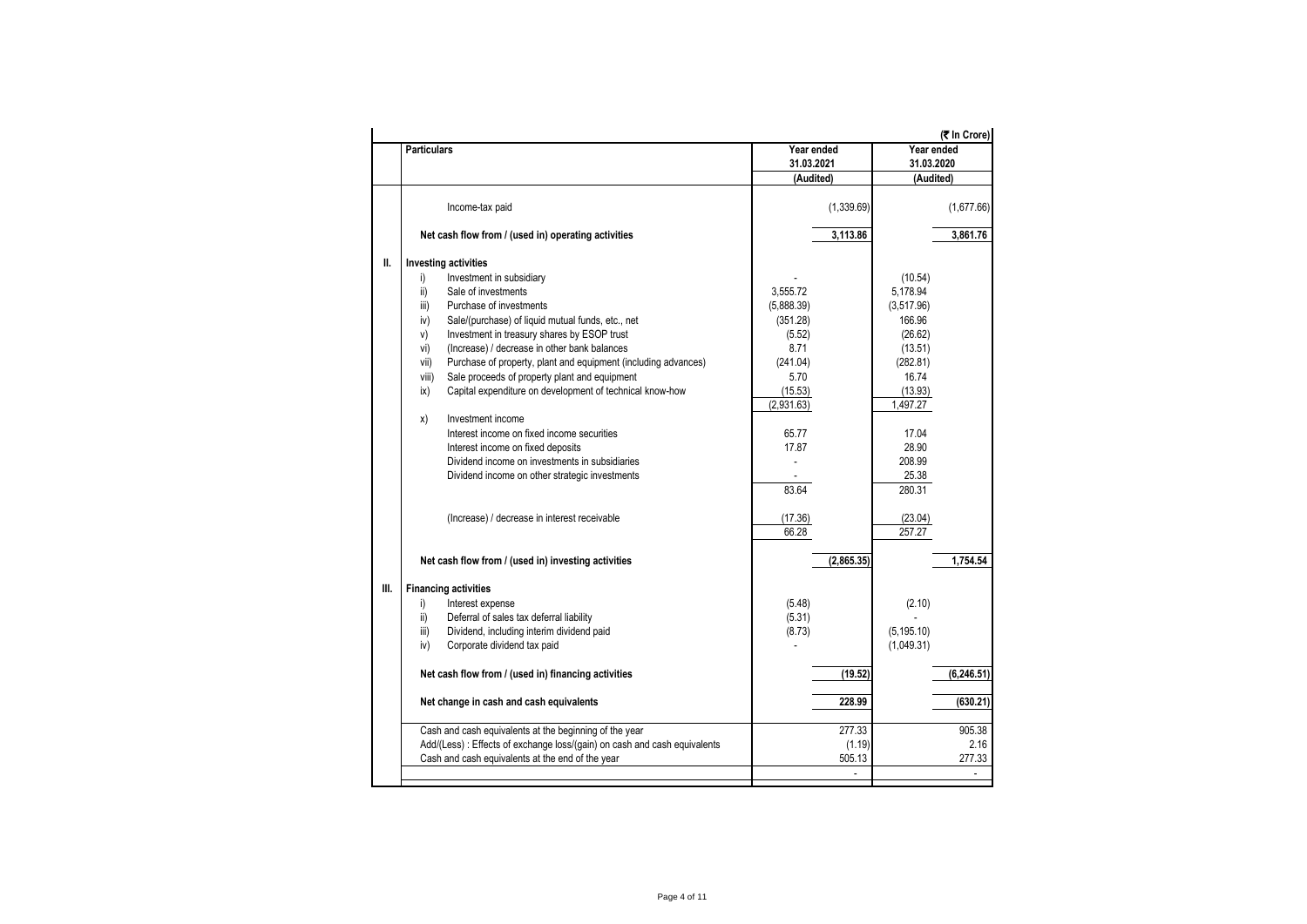|     | <b>Particulars</b>                                                        | Year ended | (₹ In Crore)<br>Year ended |
|-----|---------------------------------------------------------------------------|------------|----------------------------|
|     |                                                                           | 31.03.2021 | 31.03.2020                 |
|     |                                                                           | (Audited)  | (Audited)                  |
|     |                                                                           |            |                            |
|     | Income-tax paid                                                           | (1,339.69) | (1,677.66)                 |
|     | Net cash flow from / (used in) operating activities                       | 3,113.86   | 3,861.76                   |
| II. | <b>Investing activities</b>                                               |            |                            |
|     | Investment in subsidiary<br>i)                                            |            | (10.54)                    |
|     | Sale of investments<br>ii)                                                | 3,555.72   | 5,178.94                   |
|     | Purchase of investments<br>iii)                                           | (5,888.39) | (3,517.96)                 |
|     | iv)<br>Sale/(purchase) of liquid mutual funds, etc., net                  | (351.28)   | 166.96                     |
|     | V)<br>Investment in treasury shares by ESOP trust                         | (5.52)     | (26.62)                    |
|     | (Increase) / decrease in other bank balances<br>vi)                       | 8.71       | (13.51)                    |
|     | Purchase of property, plant and equipment (including advances)<br>vii)    | (241.04)   | (282.81)                   |
|     | Sale proceeds of property plant and equipment<br>viii)                    | 5.70       | 16.74                      |
|     | Capital expenditure on development of technical know-how<br>ix)           | (15.53)    | (13.93)                    |
|     |                                                                           | (2,931.63) | 1,497.27                   |
|     | Investment income<br>x)                                                   |            |                            |
|     | Interest income on fixed income securities                                | 65.77      | 17.04                      |
|     | Interest income on fixed deposits                                         | 17.87      | 28.90                      |
|     | Dividend income on investments in subsidiaries                            |            | 208.99                     |
|     | Dividend income on other strategic investments                            |            | 25.38                      |
|     |                                                                           | 83.64      | 280.31                     |
|     | (Increase) / decrease in interest receivable                              | (17.36)    | (23.04)                    |
|     |                                                                           | 66.28      | 257.27                     |
|     | Net cash flow from / (used in) investing activities                       | (2,865.35) | 1.754.54                   |
| Ш.  | <b>Financing activities</b>                                               |            |                            |
|     | Interest expense<br>i)                                                    | (5.48)     | (2.10)                     |
|     | $\mathsf{ii}$<br>Deferral of sales tax deferral liability                 | (5.31)     |                            |
|     | iii)<br>Dividend, including interim dividend paid                         | (8.73)     | (5, 195.10)                |
|     | Corporate dividend tax paid<br>iv)                                        |            | (1,049.31)                 |
|     | Net cash flow from / (used in) financing activities                       | (19.52)    | (6, 246.51)                |
|     |                                                                           |            |                            |
|     | Net change in cash and cash equivalents                                   | 228.99     | (630.21)                   |
|     | Cash and cash equivalents at the beginning of the year                    | 277.33     | 905.38                     |
|     | Add/(Less) : Effects of exchange loss/(gain) on cash and cash equivalents | (1.19)     | 2.16                       |
|     | Cash and cash equivalents at the end of the year                          | 505.13     | 277.33                     |
|     |                                                                           | L.         | ÷.                         |
|     |                                                                           |            |                            |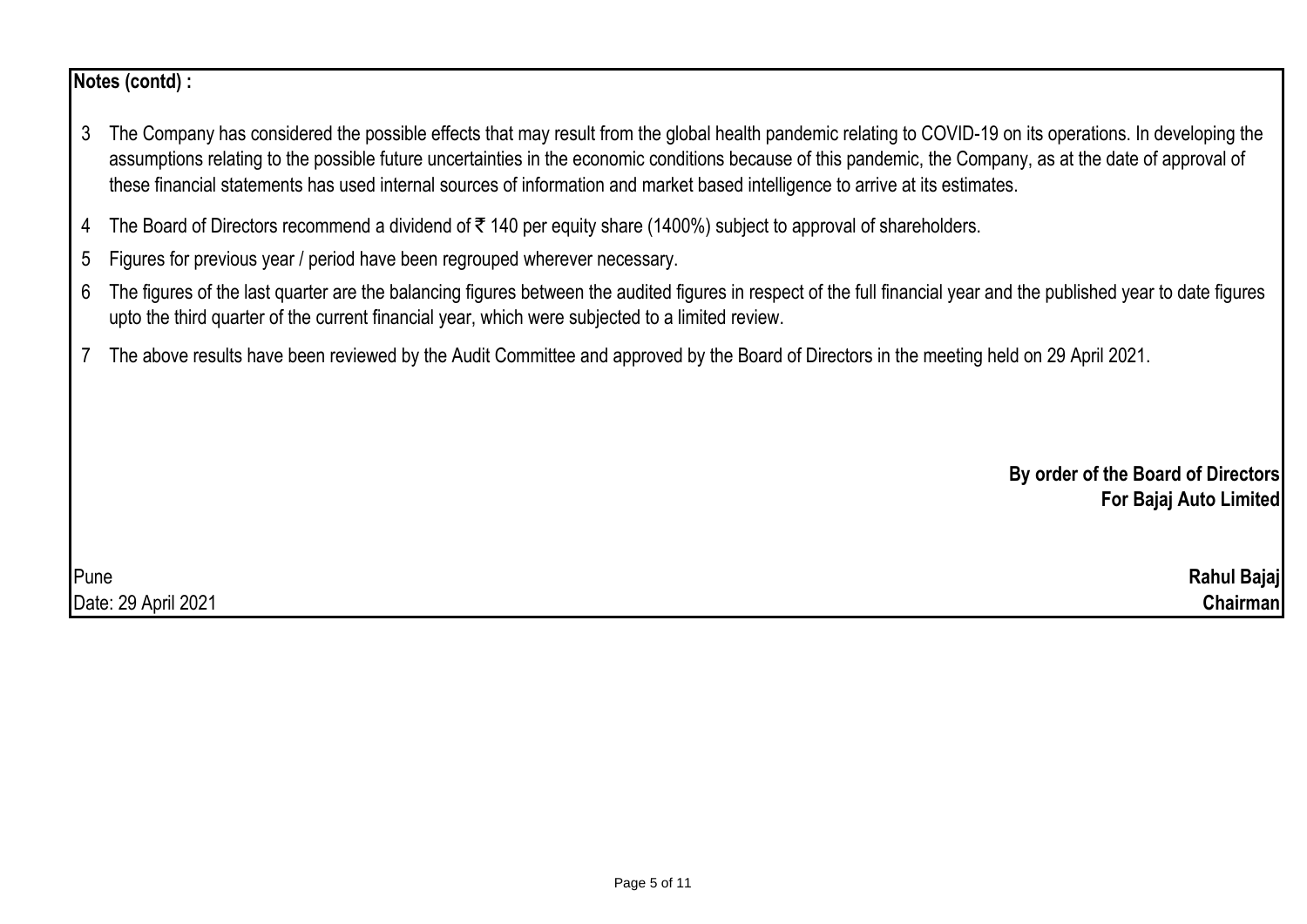# **Notes (contd) :**

- 3 The Company has considered the possible effects that may result from the global health pandemic relating to COVID-19 on its operations. In developing the assumptions relating to the possible future uncertainties in the economic conditions because of this pandemic, the Company, as at the date of approval of these financial statements has used internal sources of information and market based intelligence to arrive at its estimates.
- 4 The Board of Directors recommend a dividend of  $\bar{\tau}$  140 per equity share (1400%) subject to approval of shareholders.
- 5 Figures for previous year / period have been regrouped wherever necessary.
- 6 The figures of the last quarter are the balancing figures between the audited figures in respect of the full financial year and the published year to date figures upto the third quarter of the current financial year, which were subjected to a limited review.
- 7 The above results have been reviewed by the Audit Committee and approved by the Board of Directors in the meeting held on 29 April 2021.

**By order of the Board of Directors For Bajaj Auto Limited**

Pune **Rahul Bajaj** Date: 29 April 2021 **Chairman**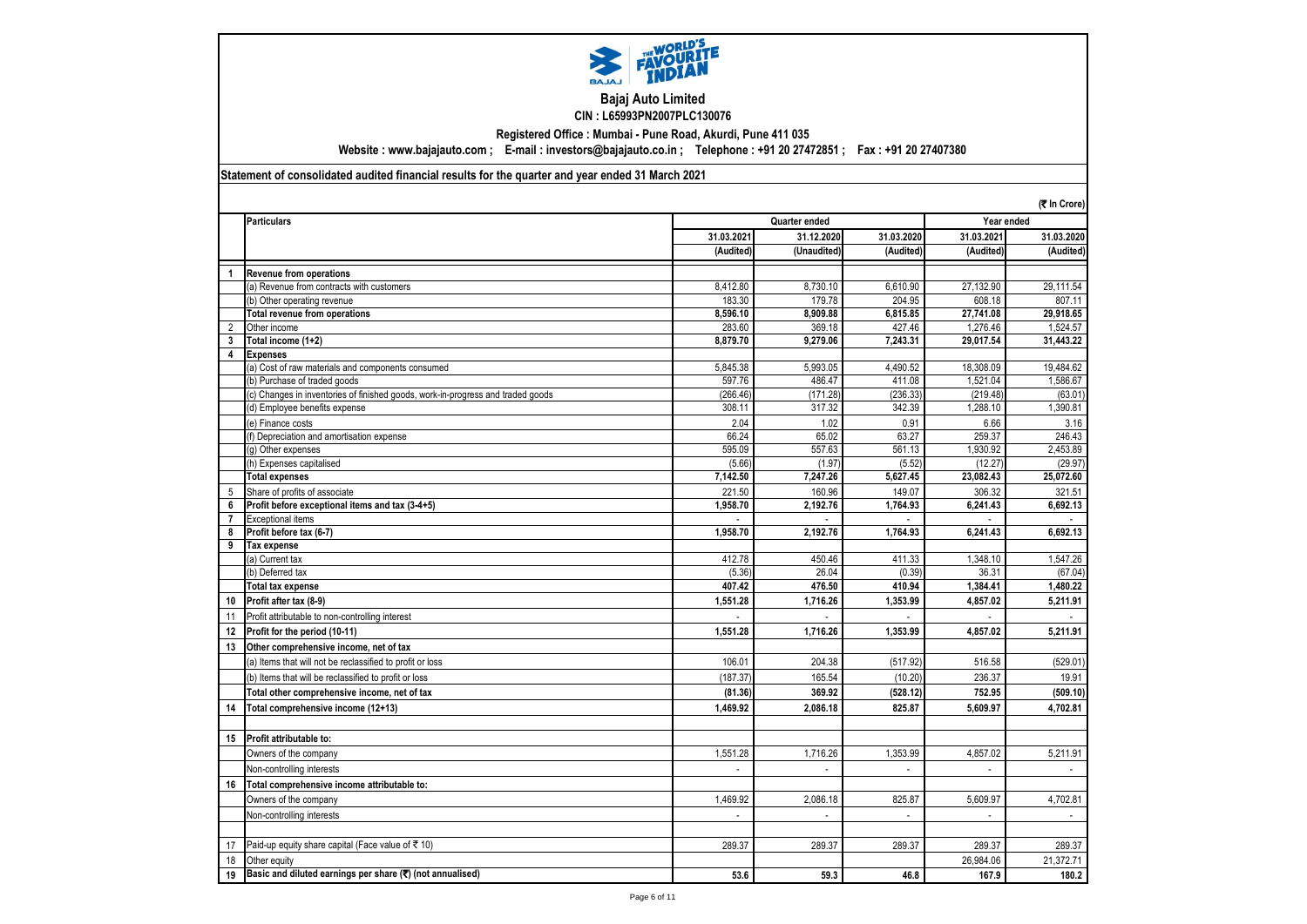

#### **Bajaj Auto Limited CIN : L65993PN2007PLC130076**

**Registered Office : Mumbai - Pune Road, Akurdi, Pune 411 035**

**Website : www.bajajauto.com ; E-mail : investors@bajajauto.co.in ; Telephone : +91 20 27472851 ; Fax : +91 20 27407380**

#### **Statement of consolidated audited financial results for the quarter and year ended 31 March 2021**

|                | (そ In Crore)                                                                    |                |                             |                |                             |                             |
|----------------|---------------------------------------------------------------------------------|----------------|-----------------------------|----------------|-----------------------------|-----------------------------|
|                | <b>Particulars</b>                                                              |                | Quarter ended               |                | Year ended                  |                             |
|                |                                                                                 | 31.03.2021     | 31.12.2020                  | 31.03.2020     | 31.03.2021                  | 31.03.2020                  |
|                |                                                                                 | (Audited)      | (Unaudited)                 | (Audited)      | (Audited)                   | (Audited)                   |
| $\overline{1}$ | Revenue from operations                                                         |                |                             |                |                             |                             |
|                | (a) Revenue from contracts with customers                                       | 8.412.80       | 8.730.10                    | 6.610.90       | 27,132.90                   | 29.111.54                   |
|                | (b) Other operating revenue                                                     | 183.30         | 179.78                      | 204.95         | 608.18                      | 807.11                      |
|                | <b>Total revenue from operations</b>                                            | 8.596.10       | 8.909.88                    | 6.815.85       | 27.741.08                   | 29.918.65                   |
| 2              | Other income                                                                    | 283.60         | 369.18                      | 427.46         | 1,276.46                    | 1,524.57                    |
| 3              | Total income (1+2)                                                              | 8,879.70       | 9,279.06                    | 7,243.31       | 29,017.54                   | 31,443.22                   |
| 4              | <b>Expenses</b>                                                                 |                |                             |                |                             |                             |
|                | (a) Cost of raw materials and components consumed                               | 5,845.38       | 5,993.05                    | 4,490.52       | 18,308.09                   | 19,484.62                   |
|                | (b) Purchase of traded goods                                                    | 597.76         | 486.47                      | 411.08         | 1,521.04                    | 1,586.67                    |
|                | (c) Changes in inventories of finished goods, work-in-progress and traded goods | (266.46)       | (171.28)                    | (236.33)       | (219.48)                    | (63.01)                     |
|                | (d) Employee benefits expense                                                   | 308.11         | 317.32                      | 342.39         | 1,288.10                    | 1,390.81                    |
|                | (e) Finance costs                                                               | 2.04           | 1.02                        | 0.91           | 6.66                        | 3.16                        |
|                | (f) Depreciation and amortisation expense                                       | 66.24          | 65.02                       | 63.27          | 259.37                      | 246.43                      |
|                | (g) Other expenses                                                              | 595.09         | 557.63                      | 561.13         | 1.930.92                    | 2,453.89                    |
|                | (h) Expenses capitalised                                                        | (5.66)         | (1.97)                      | (5.52)         | (12.27)                     | (29.97)                     |
|                | <b>Total expenses</b>                                                           | 7,142.50       | 7,247.26                    | 5,627.45       | 23,082.43                   | 25,072.60                   |
| 5              | Share of profits of associate                                                   | 221.50         | 160.96                      | 149.07         | 306.32                      | 321.51                      |
| 6              | Profit before exceptional items and tax (3-4+5)                                 | 1,958.70       | 2,192.76                    | 1,764.93       | 6,241.43                    | 6,692.13                    |
| $\overline{7}$ | <b>Exceptional items</b>                                                        |                |                             |                |                             |                             |
| 8              | Profit before tax (6-7)                                                         | 1,958.70       | 2.192.76                    | 1,764.93       | 6.241.43                    | 6,692.13                    |
| 9              | Tax expense                                                                     |                |                             |                |                             |                             |
|                | (a) Current tax                                                                 | 412.78         | 450.46                      | 411.33         | 1.348.10                    | 1,547.26                    |
|                | (b) Deferred tax                                                                | (5.36)         | 26.04                       | (0.39)         | 36.31                       | (67.04)                     |
|                | <b>Total tax expense</b>                                                        | 407.42         | 476.50                      | 410.94         | 1,384.41                    | 1,480.22                    |
| 10             | Profit after tax (8-9)                                                          | 1,551.28       | 1,716.26                    | 1,353.99       | 4,857.02                    | 5,211.91                    |
| 11             | Profit attributable to non-controlling interest                                 |                |                             |                |                             |                             |
| 12             | Profit for the period (10-11)                                                   | 1,551.28       | 1,716.26                    | 1,353.99       | 4,857.02                    | 5,211.91                    |
| 13             | Other comprehensive income, net of tax                                          |                |                             |                |                             |                             |
|                | (a) Items that will not be reclassified to profit or loss                       | 106.01         | 204.38                      | (517.92)       | 516.58                      | (529.01)                    |
|                | (b) Items that will be reclassified to profit or loss                           | (187.37)       | 165.54                      | (10.20)        | 236.37                      | 19.91                       |
|                | Total other comprehensive income, net of tax                                    | (81.36)        | 369.92                      | (528.12)       | 752.95                      | (509.10)                    |
| 14             | Total comprehensive income (12+13)                                              | 1,469.92       | 2,086.18                    | 825.87         | 5.609.97                    | 4,702.81                    |
|                |                                                                                 |                |                             |                |                             |                             |
| 15             | Profit attributable to:                                                         |                |                             |                |                             |                             |
|                | Owners of the company                                                           | 1,551.28       | 1,716.26                    | 1,353.99       | 4,857.02                    | 5,211.91                    |
|                | Non-controlling interests                                                       | $\overline{a}$ | $\overline{a}$              | $\overline{a}$ | $\mathcal{L}^{\mathcal{A}}$ | $\sim$                      |
| 16             | Total comprehensive income attributable to:                                     |                |                             |                |                             |                             |
|                | Owners of the company                                                           | 1,469.92       | 2,086.18                    | 825.87         | 5,609.97                    | 4,702.81                    |
|                | Non-controlling interests                                                       | $\mathcal{L}$  | $\mathcal{L}^{\mathcal{A}}$ | $\mathcal{L}$  | $\mathcal{L}$               | $\mathcal{L}_{\mathcal{A}}$ |
|                |                                                                                 |                |                             |                |                             |                             |
| 17             | Paid-up equity share capital (Face value of ₹10)                                | 289.37         | 289.37                      | 289.37         | 289.37                      | 289.37                      |
| 18             | Other equity                                                                    |                |                             |                | 26,984.06                   | 21,372.71                   |
| 19             | Basic and diluted earnings per share $(\overline{\mathbf{z}})$ (not annualised) | 53.6           | 59.3                        | 46.8           | 167.9                       | 180.2                       |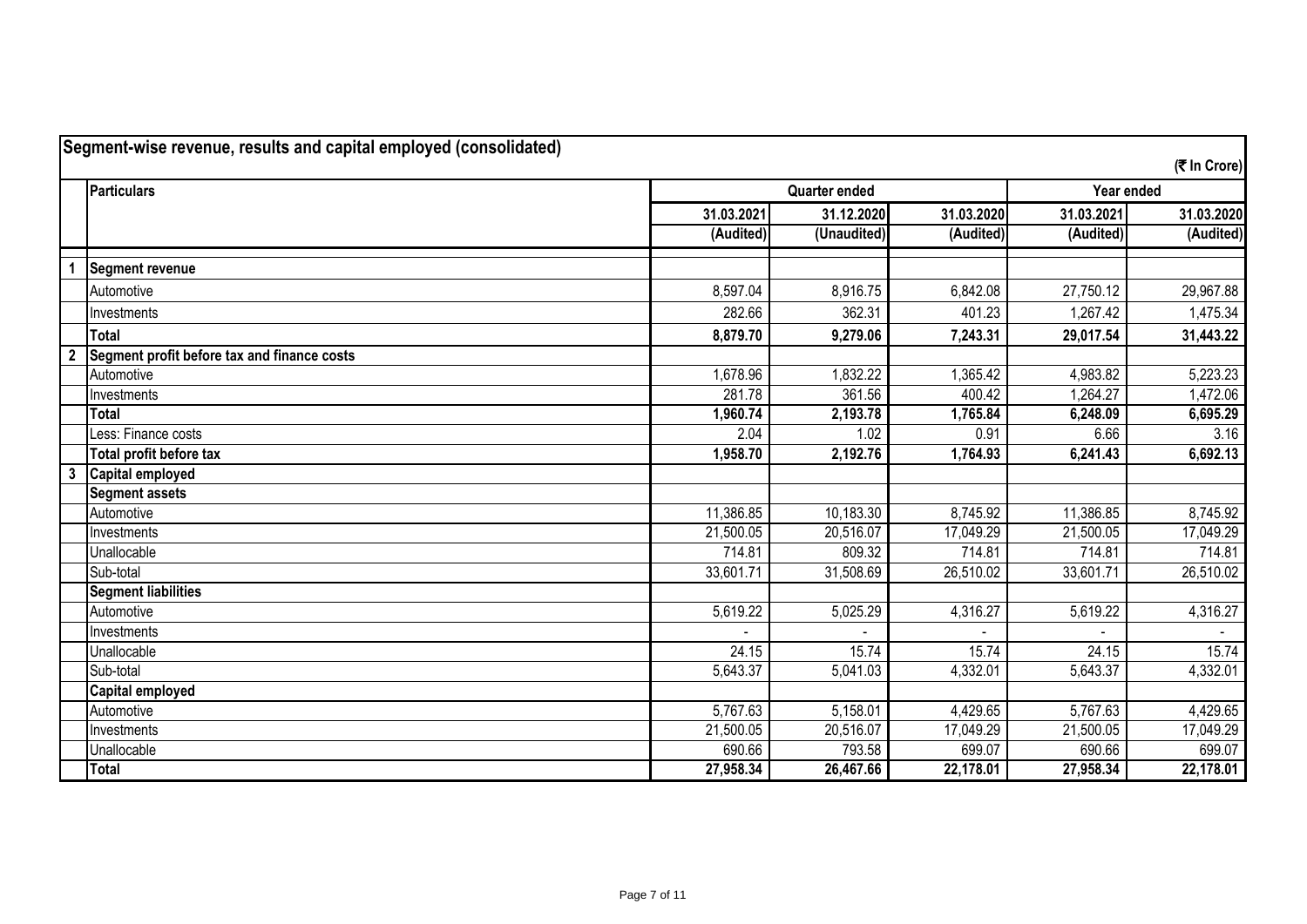|                | <b>Particulars</b>                          |            | <b>Quarter ended</b> |            | Year ended |            |
|----------------|---------------------------------------------|------------|----------------------|------------|------------|------------|
|                |                                             | 31.03.2021 | 31.12.2020           | 31.03.2020 | 31.03.2021 | 31.03.2020 |
|                |                                             | (Audited)  | (Unaudited)          | (Audited)  | (Audited)  | (Audited)  |
|                | Segment revenue                             |            |                      |            |            |            |
|                | Automotive                                  | 8,597.04   | 8,916.75             | 6,842.08   | 27,750.12  | 29,967.88  |
|                | Investments                                 | 282.66     | 362.31               | 401.23     | 1,267.42   | 1,475.34   |
|                | Total                                       | 8,879.70   | 9,279.06             | 7,243.31   | 29,017.54  | 31,443.22  |
| $\overline{2}$ | Segment profit before tax and finance costs |            |                      |            |            |            |
|                | Automotive                                  | 1,678.96   | 1,832.22             | 1,365.42   | 4,983.82   | 5,223.23   |
|                | Investments                                 | 281.78     | 361.56               | 400.42     | 1,264.27   | 1,472.06   |
|                | <b>Total</b>                                | 1,960.74   | 2,193.78             | 1,765.84   | 6,248.09   | 6,695.29   |
|                | Less: Finance costs                         | 2.04       | 1.02                 | 0.91       | 6.66       | 3.16       |
|                | Total profit before tax                     | 1,958.70   | 2,192.76             | 1,764.93   | 6,241.43   | 6,692.13   |
| $\mathbf{3}$   | Capital employed                            |            |                      |            |            |            |
|                | <b>Segment assets</b>                       |            |                      |            |            |            |
|                | Automotive                                  | 11,386.85  | 10,183.30            | 8,745.92   | 11,386.85  | 8,745.92   |
|                | Investments                                 | 21,500.05  | 20,516.07            | 17,049.29  | 21,500.05  | 17,049.29  |
|                | Unallocable                                 | 714.81     | 809.32               | 714.81     | 714.81     | 714.81     |
|                | Sub-total                                   | 33,601.71  | 31,508.69            | 26,510.02  | 33,601.71  | 26,510.02  |
|                | <b>Segment liabilities</b>                  |            |                      |            |            |            |
|                | Automotive                                  | 5,619.22   | 5,025.29             | 4,316.27   | 5,619.22   | 4,316.27   |
|                | Investments                                 |            |                      |            |            |            |
|                | Unallocable                                 | 24.15      | 15.74                | 15.74      | 24.15      | 15.74      |
|                | Sub-total                                   | 5,643.37   | 5,041.03             | 4,332.01   | 5,643.37   | 4,332.01   |
|                | <b>Capital employed</b>                     |            |                      |            |            |            |
|                | Automotive                                  | 5,767.63   | 5,158.01             | 4,429.65   | 5,767.63   | 4,429.65   |
|                | Investments                                 | 21,500.05  | 20,516.07            | 17,049.29  | 21,500.05  | 17,049.29  |
|                | Unallocable                                 | 690.66     | 793.58               | 699.07     | 690.66     | 699.07     |
|                | <b>Total</b>                                | 27,958.34  | 26,467.66            | 22,178.01  | 27,958.34  | 22,178.01  |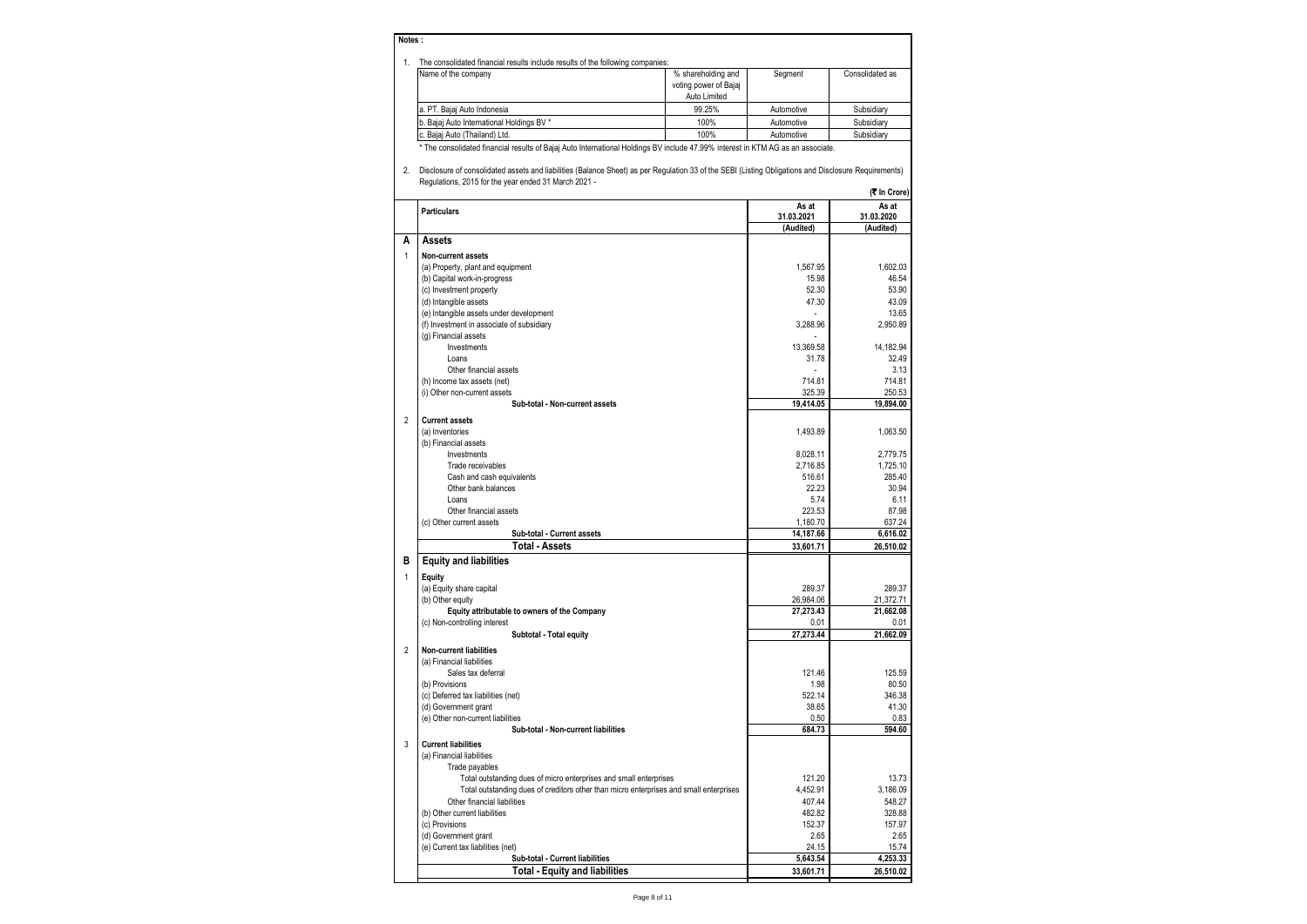#### **Notes :**

| The consolidated financial results include results of the following companies: |  |
|--------------------------------------------------------------------------------|--|
|--------------------------------------------------------------------------------|--|

| THE CONSONDATED INTRINGIAL FESULS INCLUDE TESULS OF the TONOWING CONDAHIES. |                       |            |                 |  |  |  |  |
|-----------------------------------------------------------------------------|-----------------------|------------|-----------------|--|--|--|--|
| Name of the company                                                         | % shareholding and    | Segment    | Consolidated as |  |  |  |  |
|                                                                             | voting power of Bajaj |            |                 |  |  |  |  |
|                                                                             | Auto Limited          |            |                 |  |  |  |  |
| a. PT. Baiai Auto Indonesia                                                 | 99.25%                | Automotive | Subsidiarv      |  |  |  |  |
| b. Bajaj Auto International Holdings BV *                                   | 100%                  | Automotive | Subsidiarv      |  |  |  |  |
| c. Baiai Auto (Thailand) Ltd.                                               | 100%                  | Automotive | Subsidiary      |  |  |  |  |
|                                                                             |                       |            |                 |  |  |  |  |

\* The consolidated financial results of Bajaj Auto International Holdings BV include 47.99% interest in KTM AG as an associate.

2. Disclosure of consolidated assets and liabilities (Balance Sheet) as per Regulation 33 of the SEBI (Listing Obligations and Disclosure Requirements) Regulations, 2015 for the year ended 31 March 2021 -

| $\alpha$ . $\alpha$ , $\alpha$ , $\alpha$ , $\alpha$ , $\alpha$ , $\alpha$ , $\alpha$ , $\alpha$ , $\alpha$ , $\alpha$ , $\alpha$ , $\alpha$ , $\alpha$ , $\alpha$<br><b>K</b> In Crore |                                                                                        |                |                |  |
|-----------------------------------------------------------------------------------------------------------------------------------------------------------------------------------------|----------------------------------------------------------------------------------------|----------------|----------------|--|
|                                                                                                                                                                                         | <b>Particulars</b>                                                                     | As at          | As at          |  |
|                                                                                                                                                                                         |                                                                                        | 31.03.2021     | 31.03.2020     |  |
| A                                                                                                                                                                                       |                                                                                        | (Audited)      | (Audited)      |  |
|                                                                                                                                                                                         | Assets                                                                                 |                |                |  |
| 1                                                                                                                                                                                       | Non-current assets                                                                     |                |                |  |
|                                                                                                                                                                                         | (a) Property, plant and equipment                                                      | 1.567.95       | 1.602.03       |  |
|                                                                                                                                                                                         | (b) Capital work-in-progress                                                           | 15.98          | 46.54          |  |
|                                                                                                                                                                                         | (c) Investment property                                                                | 52.30          | 53.90          |  |
|                                                                                                                                                                                         | (d) Intangible assets                                                                  | 47.30          | 43.09          |  |
|                                                                                                                                                                                         | (e) Intangible assets under development                                                |                | 13.65          |  |
|                                                                                                                                                                                         | (f) Investment in associate of subsidiary                                              | 3,288.96       | 2,950.89       |  |
|                                                                                                                                                                                         | (g) Financial assets                                                                   |                |                |  |
|                                                                                                                                                                                         | Investments                                                                            | 13,369.58      | 14,182.94      |  |
|                                                                                                                                                                                         | Loans                                                                                  | 31.78          | 32.49          |  |
|                                                                                                                                                                                         | Other financial assets                                                                 |                | 3.13           |  |
|                                                                                                                                                                                         | (h) Income tax assets (net)                                                            | 714.81         | 714.81         |  |
|                                                                                                                                                                                         | (i) Other non-current assets                                                           | 325.39         | 250.53         |  |
|                                                                                                                                                                                         | Sub-total - Non-current assets                                                         | 19,414.05      | 19,894.00      |  |
| $\overline{2}$                                                                                                                                                                          | <b>Current assets</b>                                                                  |                |                |  |
|                                                                                                                                                                                         | (a) Inventories                                                                        | 1.493.89       | 1,063.50       |  |
|                                                                                                                                                                                         | (b) Financial assets                                                                   |                |                |  |
|                                                                                                                                                                                         | Investments                                                                            | 8,028.11       | 2,779.75       |  |
|                                                                                                                                                                                         | Trade receivables                                                                      | 2,716.85       | 1,725.10       |  |
|                                                                                                                                                                                         | Cash and cash equivalents                                                              | 516.61         | 285.40         |  |
|                                                                                                                                                                                         | Other bank balances                                                                    | 22.23          | 30.94          |  |
|                                                                                                                                                                                         | Loans                                                                                  | 5.74           | 6.11           |  |
|                                                                                                                                                                                         | Other financial assets                                                                 | 223.53         | 87.98          |  |
|                                                                                                                                                                                         | (c) Other current assets                                                               | 1,180.70       | 637.24         |  |
|                                                                                                                                                                                         | Sub-total - Current assets                                                             | 14,187.66      | 6,616.02       |  |
|                                                                                                                                                                                         | <b>Total - Assets</b>                                                                  | 33,601.71      | 26,510.02      |  |
| в                                                                                                                                                                                       | <b>Equity and liabilities</b>                                                          |                |                |  |
| 1                                                                                                                                                                                       | Equity                                                                                 |                |                |  |
|                                                                                                                                                                                         | (a) Equity share capital                                                               | 289.37         | 289.37         |  |
|                                                                                                                                                                                         | (b) Other equity                                                                       | 26,984.06      | 21,372.71      |  |
|                                                                                                                                                                                         | Equity attributable to owners of the Company                                           | 27,273.43      | 21,662.08      |  |
|                                                                                                                                                                                         | (c) Non-controlling interest                                                           | 0.01           | 0.01           |  |
|                                                                                                                                                                                         | Subtotal - Total equity                                                                | 27,273.44      | 21,662.09      |  |
|                                                                                                                                                                                         |                                                                                        |                |                |  |
| $\overline{2}$                                                                                                                                                                          | <b>Non-current liabilities</b>                                                         |                |                |  |
|                                                                                                                                                                                         | (a) Financial liabilities                                                              |                |                |  |
|                                                                                                                                                                                         | Sales tax deferral                                                                     | 121.46<br>1.98 | 125.59         |  |
|                                                                                                                                                                                         | (b) Provisions                                                                         |                | 80.50          |  |
|                                                                                                                                                                                         | (c) Deferred tax liabilities (net)                                                     | 522.14         | 346.38         |  |
|                                                                                                                                                                                         | (d) Government grant                                                                   | 38.65          | 41.30          |  |
|                                                                                                                                                                                         | (e) Other non-current liabilities<br>Sub-total - Non-current liabilities               | 0.50<br>684.73 | 0.83<br>594.60 |  |
|                                                                                                                                                                                         |                                                                                        |                |                |  |
| 3                                                                                                                                                                                       | <b>Current liabilities</b>                                                             |                |                |  |
|                                                                                                                                                                                         | (a) Financial liabilities                                                              |                |                |  |
|                                                                                                                                                                                         | Trade payables                                                                         |                |                |  |
|                                                                                                                                                                                         | Total outstanding dues of micro enterprises and small enterprises                      | 121.20         | 13.73          |  |
|                                                                                                                                                                                         | Total outstanding dues of creditors other than micro enterprises and small enterprises | 4,452.91       | 3,186.09       |  |
|                                                                                                                                                                                         | Other financial liabilities                                                            | 407.44         | 548.27         |  |
|                                                                                                                                                                                         | (b) Other current liabilities                                                          | 482.82         | 328.88         |  |
|                                                                                                                                                                                         | (c) Provisions                                                                         | 152.37         | 157.97         |  |
|                                                                                                                                                                                         | (d) Government grant                                                                   | 2.65           | 2.65           |  |
|                                                                                                                                                                                         | (e) Current tax liabilities (net)                                                      | 24.15          | 15.74          |  |
|                                                                                                                                                                                         | Sub-total - Current liabilities                                                        | 5,643.54       | 4,253.33       |  |
|                                                                                                                                                                                         | <b>Total - Equity and liabilities</b>                                                  | 33,601.71      | 26,510.02      |  |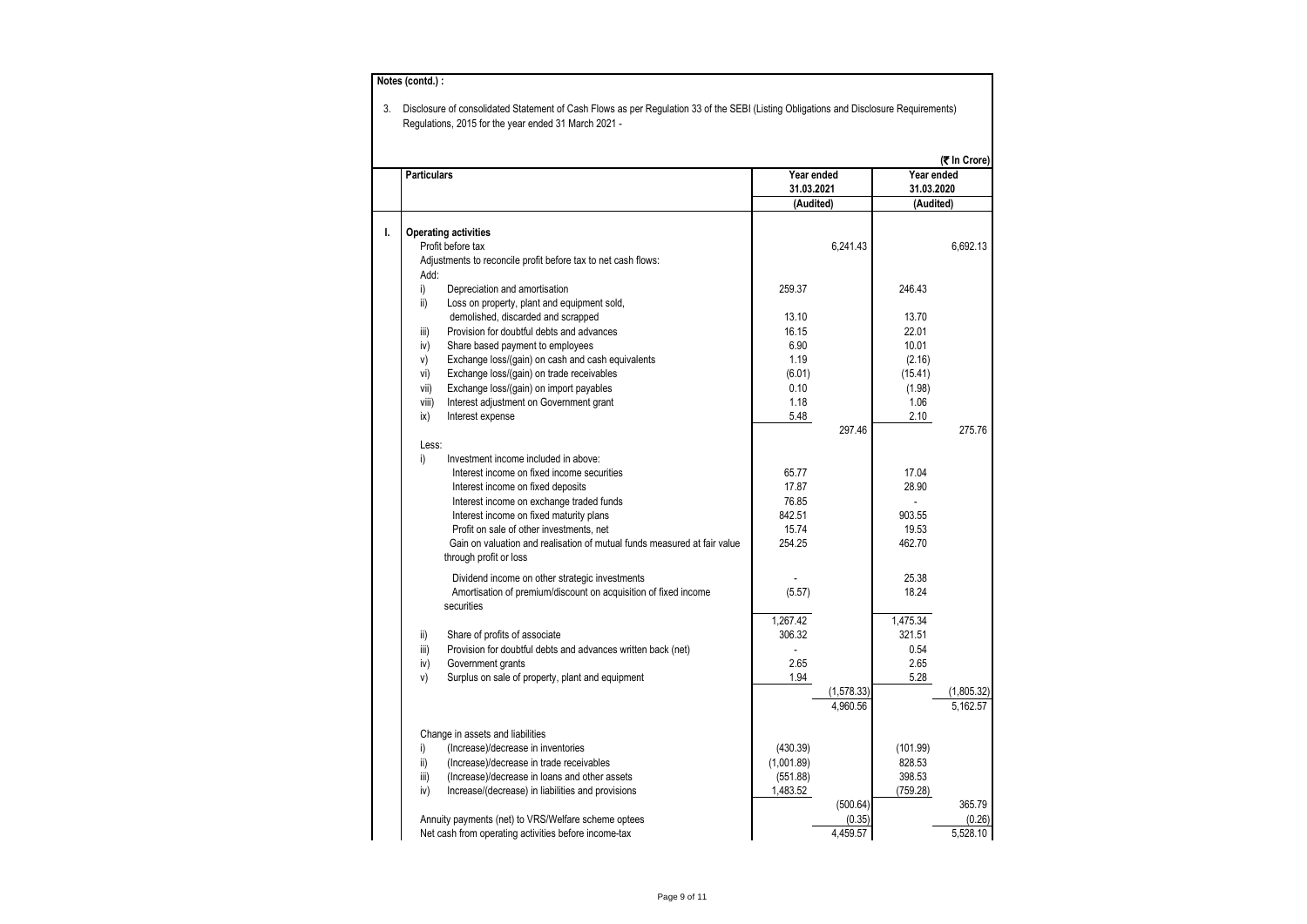|    |                    |                                                                                                             |                         |                    |                         | (₹ In Crore)     |
|----|--------------------|-------------------------------------------------------------------------------------------------------------|-------------------------|--------------------|-------------------------|------------------|
|    | <b>Particulars</b> |                                                                                                             | Year ended              |                    | Year ended              |                  |
|    |                    |                                                                                                             | 31.03.2021<br>(Audited) |                    | 31.03.2020<br>(Audited) |                  |
|    |                    |                                                                                                             |                         |                    |                         |                  |
| ı. |                    | <b>Operating activities</b>                                                                                 |                         |                    |                         |                  |
|    |                    | Profit before tax                                                                                           |                         | 6,241.43           |                         | 6,692.13         |
|    |                    | Adjustments to reconcile profit before tax to net cash flows:                                               |                         |                    |                         |                  |
|    | Add:               |                                                                                                             |                         |                    |                         |                  |
|    | i)                 | Depreciation and amortisation                                                                               | 259.37                  |                    | 246.43                  |                  |
|    | ii)                | Loss on property, plant and equipment sold,                                                                 |                         |                    |                         |                  |
|    |                    | demolished, discarded and scrapped                                                                          | 13.10                   |                    | 13.70                   |                  |
|    | iii)               | Provision for doubtful debts and advances                                                                   | 16.15                   |                    | 22.01                   |                  |
|    | iv)                | Share based payment to employees                                                                            | 6.90                    |                    | 10.01                   |                  |
|    | V)                 | Exchange loss/(gain) on cash and cash equivalents                                                           | 1.19                    |                    | (2.16)                  |                  |
|    | vi)                | Exchange loss/(gain) on trade receivables                                                                   | (6.01)                  |                    | (15.41)                 |                  |
|    | vii)               | Exchange loss/(gain) on import payables                                                                     | 0.10                    |                    | (1.98)                  |                  |
|    | viii)              | Interest adjustment on Government grant                                                                     | 1.18                    |                    | 1.06                    |                  |
|    | ix)                | Interest expense                                                                                            | 5.48                    |                    | 2.10                    |                  |
|    |                    |                                                                                                             |                         | 297.46             |                         | 275.76           |
|    | Less:              |                                                                                                             |                         |                    |                         |                  |
|    | i)                 | Investment income included in above:                                                                        |                         |                    |                         |                  |
|    |                    | Interest income on fixed income securities                                                                  | 65.77                   |                    | 17.04                   |                  |
|    |                    | Interest income on fixed deposits                                                                           | 17.87                   |                    | 28.90                   |                  |
|    |                    | Interest income on exchange traded funds                                                                    | 76.85                   |                    |                         |                  |
|    |                    | Interest income on fixed maturity plans                                                                     | 842.51                  |                    | 903.55                  |                  |
|    |                    | Profit on sale of other investments, net                                                                    | 15.74                   |                    | 19.53                   |                  |
|    |                    | Gain on valuation and realisation of mutual funds measured at fair value                                    | 254.25                  |                    | 462.70                  |                  |
|    |                    | through profit or loss                                                                                      |                         |                    |                         |                  |
|    |                    | Dividend income on other strategic investments                                                              |                         |                    | 25.38                   |                  |
|    |                    | Amortisation of premium/discount on acquisition of fixed income                                             | (5.57)                  |                    | 18.24                   |                  |
|    |                    | securities                                                                                                  |                         |                    |                         |                  |
|    |                    |                                                                                                             | 1,267.42                |                    | 1,475.34                |                  |
|    | ii)                | Share of profits of associate                                                                               | 306.32                  |                    | 321.51                  |                  |
|    | iii)               | Provision for doubtful debts and advances written back (net)                                                |                         |                    | 0.54                    |                  |
|    | iv)                | Government grants                                                                                           | 2.65                    |                    | 2.65                    |                  |
|    | V)                 | Surplus on sale of property, plant and equipment                                                            | 1.94                    |                    | 5.28                    |                  |
|    |                    |                                                                                                             |                         | (1,578.33)         |                         | (1,805.32)       |
|    |                    |                                                                                                             |                         | 4.960.56           |                         | 5.162.57         |
|    |                    |                                                                                                             |                         |                    |                         |                  |
|    |                    | Change in assets and liabilities                                                                            |                         |                    |                         |                  |
|    | i)                 | (Increase)/decrease in inventories                                                                          | (430.39)                |                    | (101.99)                |                  |
|    | ii)                | (Increase)/decrease in trade receivables                                                                    | (1,001.89)              |                    | 828.53                  |                  |
|    | iii)               | (Increase)/decrease in loans and other assets                                                               | (551.88)                |                    | 398.53                  |                  |
|    | iv)                | Increase/(decrease) in liabilities and provisions                                                           | 1,483.52                |                    | (759.28)                |                  |
|    |                    |                                                                                                             |                         | (500.64)           |                         | 365.79<br>(0.26) |
|    |                    | Annuity payments (net) to VRS/Welfare scheme optees<br>Net cash from operating activities before income-tax |                         | (0.35)<br>4,459.57 |                         | 5,528.10         |
|    |                    |                                                                                                             |                         |                    |                         |                  |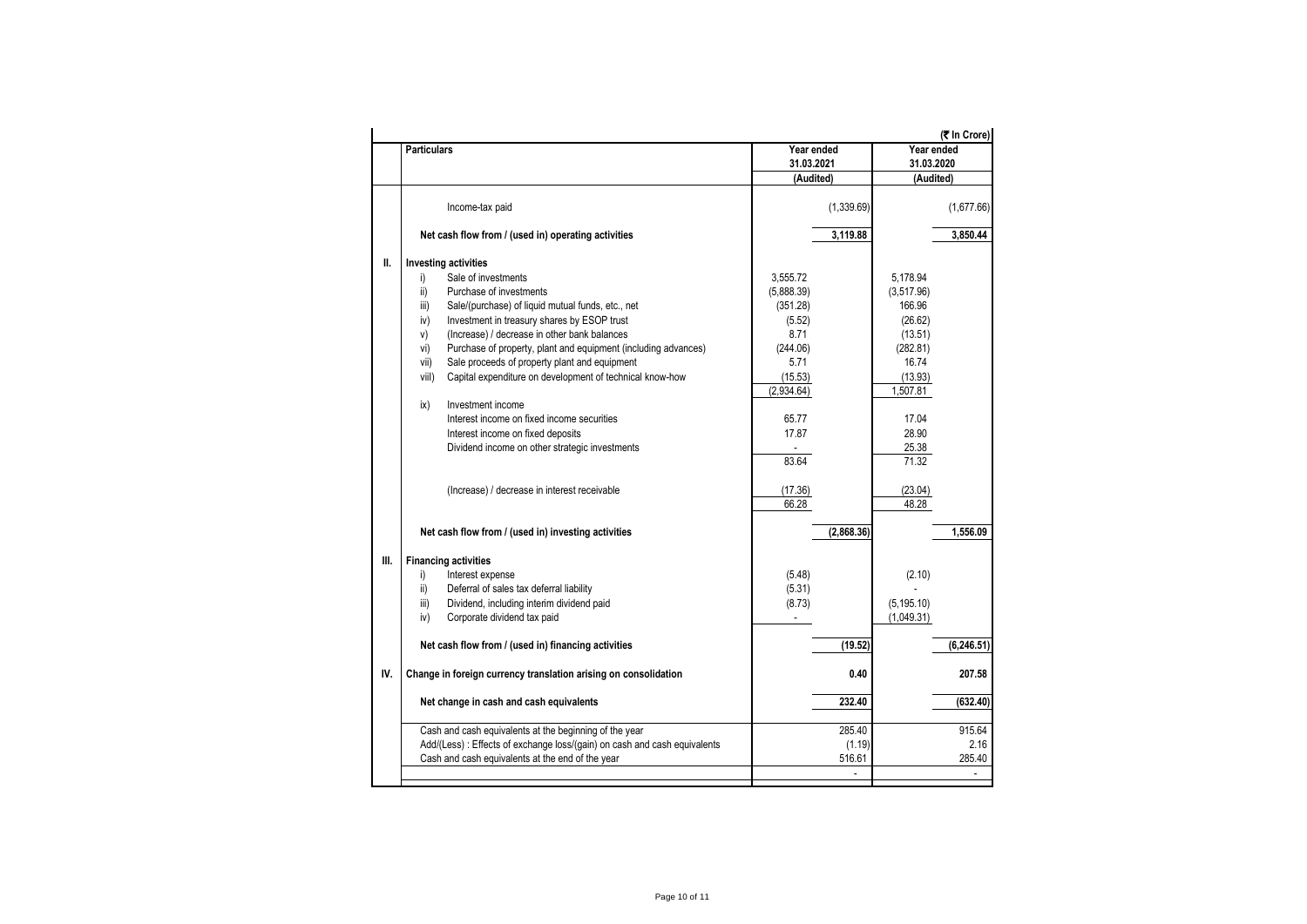|      | <b>Particulars</b>                                                        | Year ended            | (₹ In Crore)<br>Year ended |
|------|---------------------------------------------------------------------------|-----------------------|----------------------------|
|      |                                                                           | 31.03.2021            | 31.03.2020                 |
|      |                                                                           | (Audited)             | (Audited)                  |
|      | Income-tax paid                                                           | (1,339.69)            | (1,677.66)                 |
|      | Net cash flow from / (used in) operating activities                       | 3,119.88              | 3.850.44                   |
| II.  | <b>Investing activities</b>                                               |                       |                            |
|      | Sale of investments<br>i)                                                 | 3.555.72              | 5.178.94                   |
|      | Purchase of investments<br>ii)                                            | (5,888.39)            | (3,517.96)                 |
|      | Sale/(purchase) of liquid mutual funds, etc., net<br>iii)                 | (351.28)              | 166.96                     |
|      | iv)<br>Investment in treasury shares by ESOP trust                        | (5.52)                | (26.62)                    |
|      | (Increase) / decrease in other bank balances<br>V)                        | 8.71                  | (13.51)                    |
|      | Purchase of property, plant and equipment (including advances)<br>vi)     | (244.06)              | (282.81)                   |
|      | Sale proceeds of property plant and equipment<br>vii)                     | 5.71                  | 16.74                      |
|      | Capital expenditure on development of technical know-how<br>viil)         | (15.53)               | (13.93)                    |
|      |                                                                           | (2,934.64)            | 1,507.81                   |
|      | ix)<br>Investment income                                                  |                       |                            |
|      | Interest income on fixed income securities                                | 65.77                 | 17.04                      |
|      | Interest income on fixed deposits                                         | 17.87                 | 28.90                      |
|      | Dividend income on other strategic investments                            | $\tilde{\phantom{a}}$ | 25.38                      |
|      |                                                                           | 83.64                 | 71.32                      |
|      | (Increase) / decrease in interest receivable                              | (17.36)               | (23.04)                    |
|      |                                                                           | 66.28                 | 48.28                      |
|      | Net cash flow from / (used in) investing activities                       | (2,868.36)            | 1.556.09                   |
| III. | <b>Financing activities</b>                                               |                       |                            |
|      | i)<br>Interest expense                                                    | (5.48)                | (2.10)                     |
|      | Deferral of sales tax deferral liability<br>ii)                           | (5.31)                |                            |
|      | Dividend, including interim dividend paid<br>iii)                         | (8.73)                | (5, 195.10)                |
|      | iv)<br>Corporate dividend tax paid                                        |                       | (1,049.31)                 |
|      |                                                                           |                       |                            |
|      | Net cash flow from / (used in) financing activities                       | (19.52)               | (6, 246.51)                |
| IV.  | Change in foreign currency translation arising on consolidation           | 0.40                  | 207.58                     |
|      |                                                                           |                       |                            |
|      | Net change in cash and cash equivalents                                   | 232.40                | (632.40)                   |
|      | Cash and cash equivalents at the beginning of the year                    | 285.40                | 915.64                     |
|      | Add/(Less) : Effects of exchange loss/(gain) on cash and cash equivalents | (1.19)                | 2.16                       |
|      | Cash and cash equivalents at the end of the year                          | 516.61                | 285.40                     |
|      |                                                                           |                       |                            |
|      |                                                                           |                       |                            |